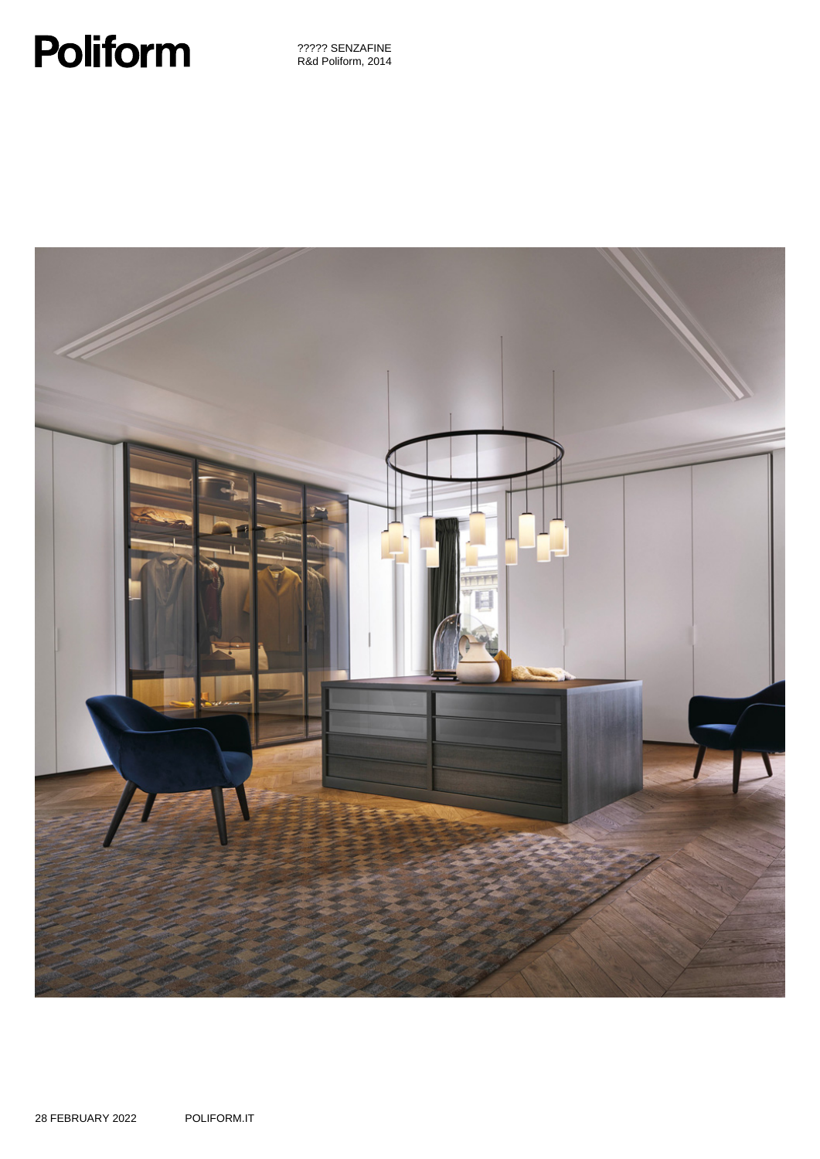# **Poliform**

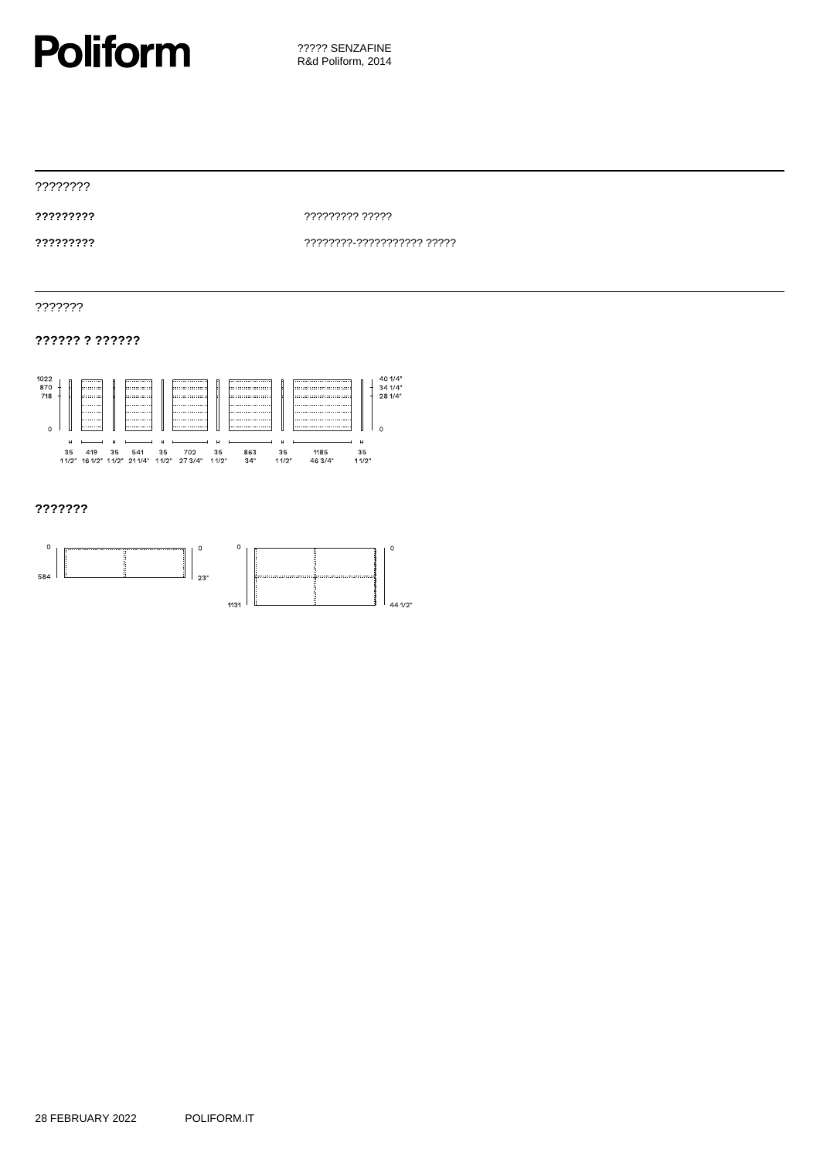

????????

**?????????** ????????? ?????

**?????????** ????????-??????????? ?????

???????

## **?????? ? ??????**



## **???????**

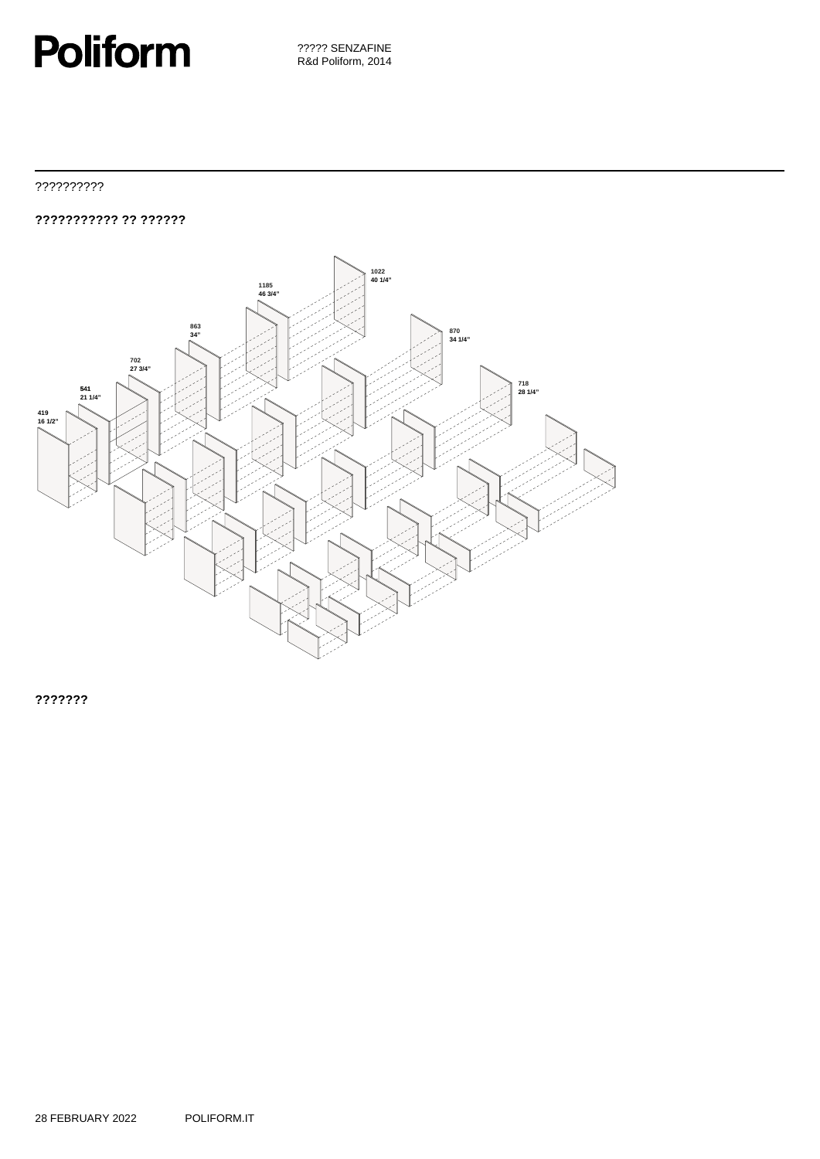## **Poliform**

??????????

**??????????? ?? ??????**



**???????**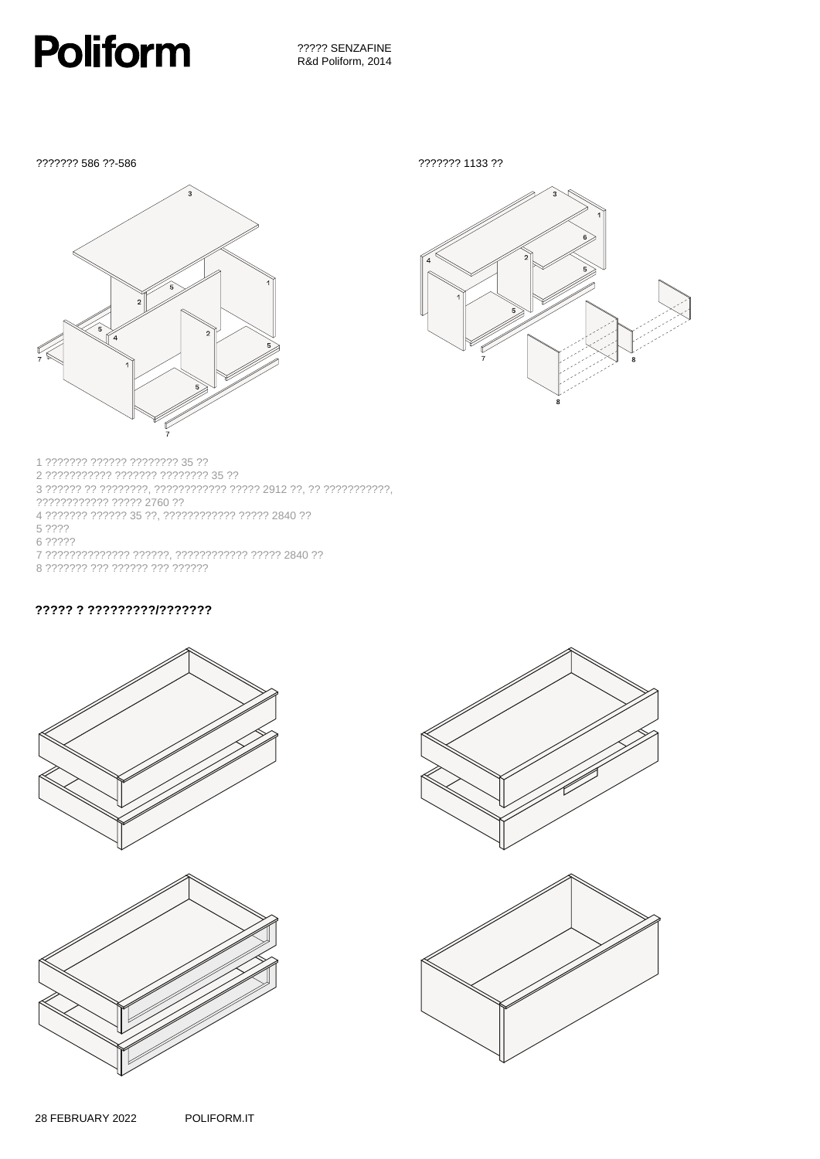

??????? 586 ??-586

??????? 1133 ??





1 ??????? ?????? ???????? 35 ?? 3 ?????? ?? ????????, ???????????? ????? 2912 ??, ?? ???????????,  ${\begin{smallmatrix}777777777777777772760&77\end{smallmatrix}} {\begin{smallmatrix}77777777777778&2760&77\end{smallmatrix}} {\begin{smallmatrix}47777777777&77777&35&77,\end{smallmatrix}} {\begin{smallmatrix}7777777777777777777777772&72840&77\end{smallmatrix}}$  $5.222$ 6 ????? 7 ?????????????? ??????, ??????????? ????? 2840 ?? 8 ??????? ??? ?????? ??? ??????

## ????? ?????????????????



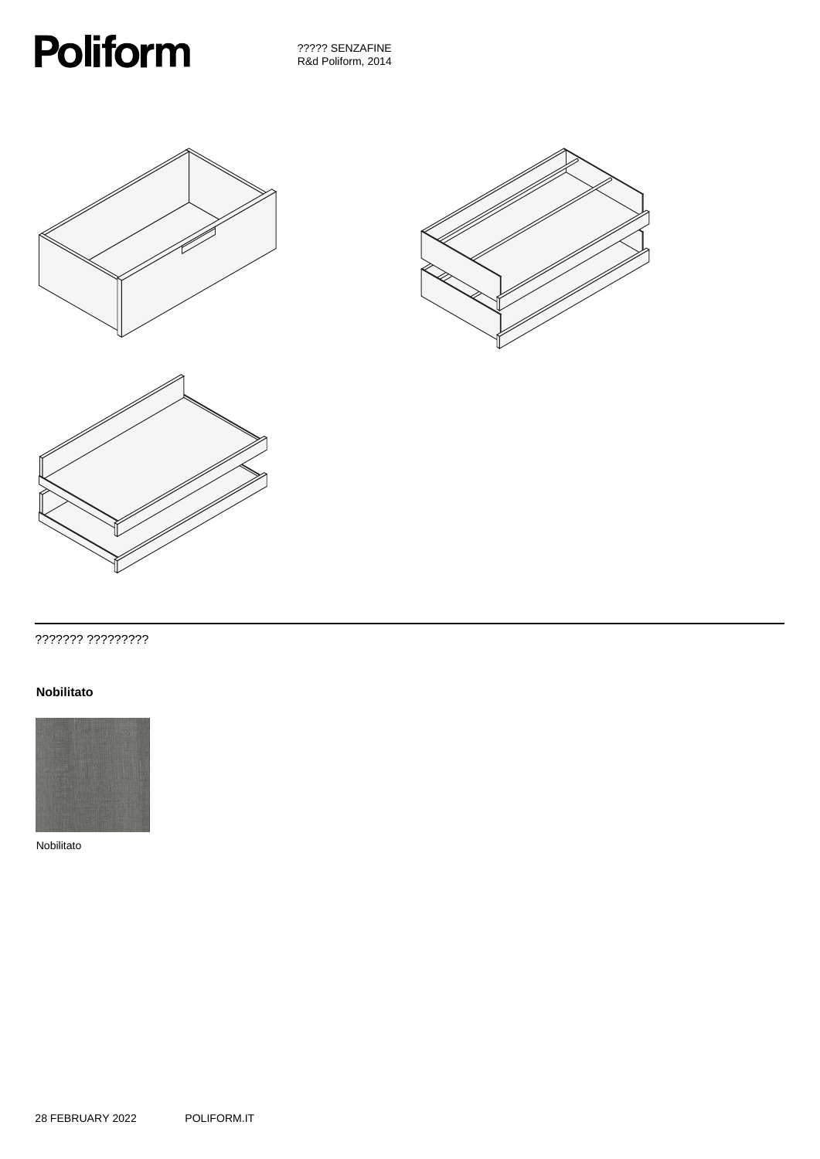

????? SENZAFINE R&d Poliform, 2014







## ??????? ?????????

#### **Nobilitato**



Nobilitato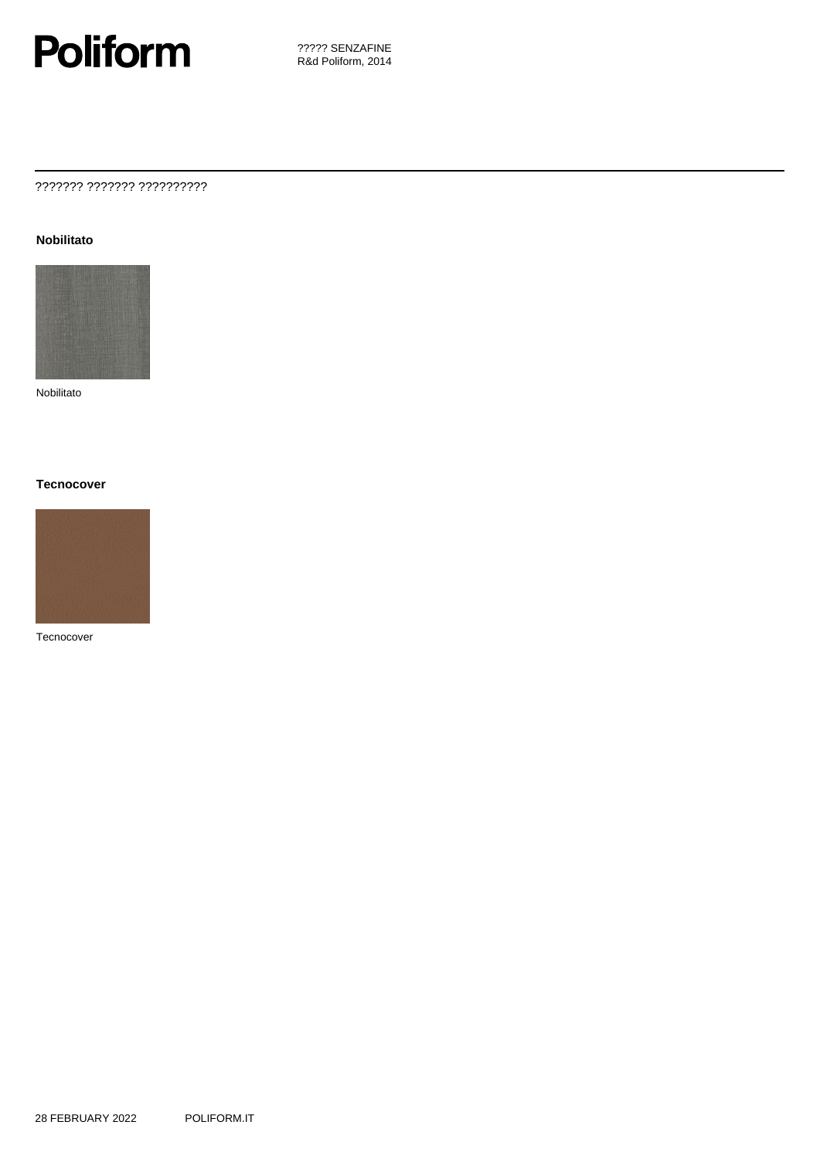

## ??????? ??????? ??????????

#### **Nobilitato**



Nobilitato

#### **Tecnocover**



Tecnocover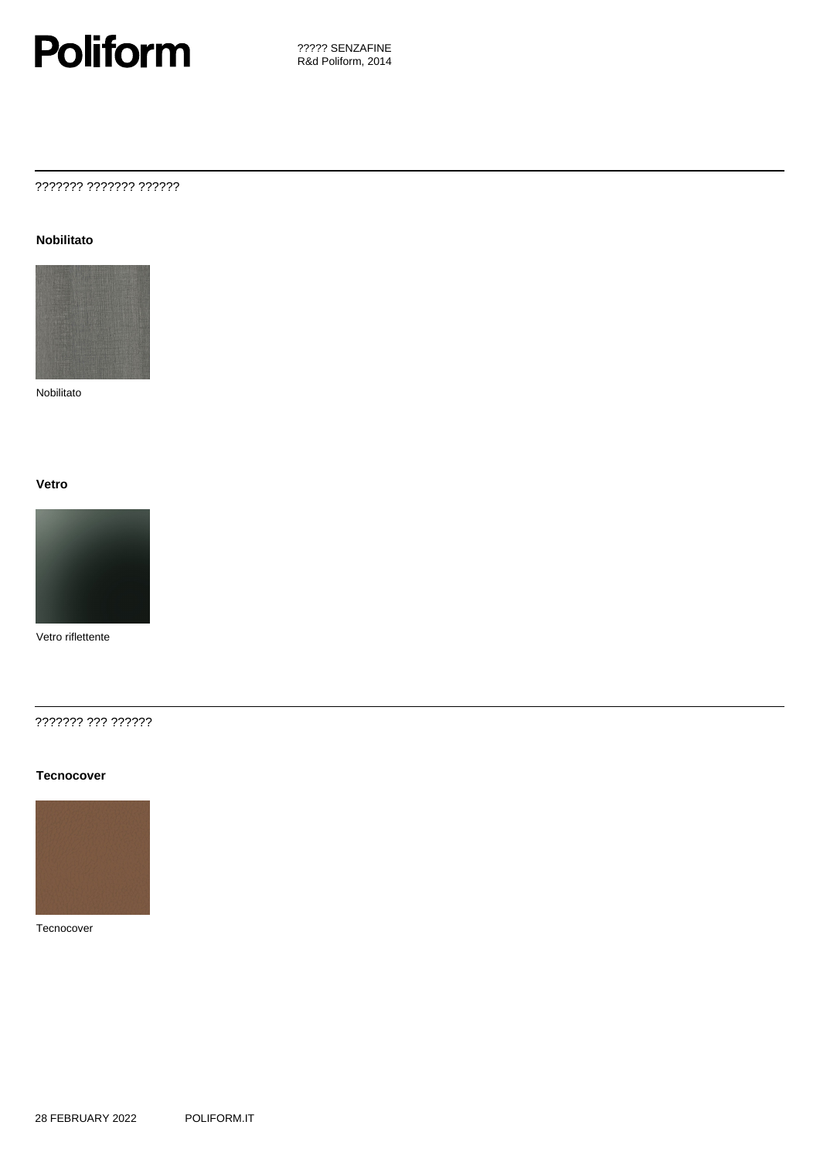

## ??????? ??????? ??????

#### **Nobilitato**



Nobilitato

#### **Vetro**



Vetro riflettente

#### ??????? ??? ??????

#### **Tecnocover**



#### Tecnocover